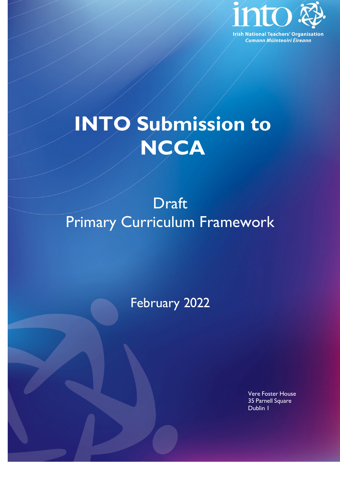

# **INTO Submission to NCCA**

## Draft Primary Curriculum Framework

### February 2022

Vere Foster House 35 Parnell Square Dublin 1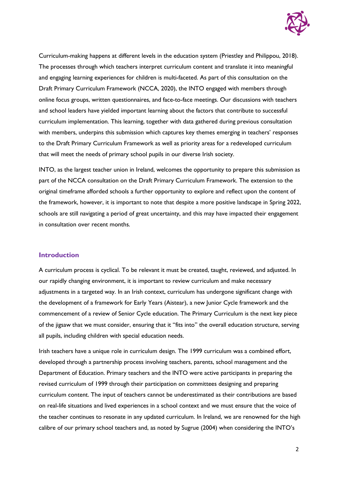

Curriculum-making happens at different levels in the education system (Priestley and Philippou, 2018). The processes through which teachers interpret curriculum content and translate it into meaningful and engaging learning experiences for children is multi-faceted. As part of this consultation on the Draft Primary Curriculum Framework (NCCA, 2020), the INTO engaged with members through online focus groups, written questionnaires, and face-to-face meetings. Our discussions with teachers and school leaders have yielded important learning about the factors that contribute to successful curriculum implementation. This learning, together with data gathered during previous consultation with members, underpins this submission which captures key themes emerging in teachers' responses to the Draft Primary Curriculum Framework as well as priority areas for a redeveloped curriculum that will meet the needs of primary school pupils in our diverse Irish society.

INTO, as the largest teacher union in Ireland, welcomes the opportunity to prepare this submission as part of the NCCA consultation on the Draft Primary Curriculum Framework. The extension to the original timeframe afforded schools a further opportunity to explore and reflect upon the content of the framework, however, it is important to note that despite a more positive landscape in Spring 2022, schools are still navigating a period of great uncertainty, and this may have impacted their engagement in consultation over recent months.

#### **Introduction**

A curriculum process is cyclical. To be relevant it must be created, taught, reviewed, and adjusted. In our rapidly changing environment, it is important to review curriculum and make necessary adjustments in a targeted way. In an Irish context, curriculum has undergone significant change with the development of a framework for Early Years (Aistear), a new Junior Cycle framework and the commencement of a review of Senior Cycle education. The Primary Curriculum is the next key piece of the jigsaw that we must consider, ensuring that it "fits into" the overall education structure, serving all pupils, including children with special education needs.

Irish teachers have a unique role in curriculum design. The 1999 curriculum was a combined effort, developed through a partnership process involving teachers, parents, school management and the Department of Education. Primary teachers and the INTO were active participants in preparing the revised curriculum of 1999 through their participation on committees designing and preparing curriculum content. The input of teachers cannot be underestimated as their contributions are based on real-life situations and lived experiences in a school context and we must ensure that the voice of the teacher continues to resonate in any updated curriculum. In Ireland, we are renowned for the high calibre of our primary school teachers and, as noted by Sugrue (2004) when considering the INTO's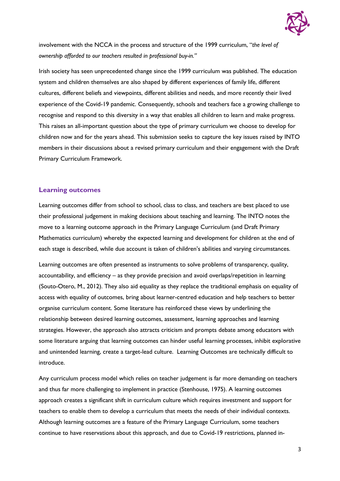

involvement with the NCCA in the process and structure of the 1999 curriculum, "*the level of ownership afforded to our teachers resulted in professional buy-in."*

Irish society has seen unprecedented change since the 1999 curriculum was published. The education system and children themselves are also shaped by different experiences of family life, different cultures, different beliefs and viewpoints, different abilities and needs, and more recently their lived experience of the Covid-19 pandemic. Consequently, schools and teachers face a growing challenge to recognise and respond to this diversity in a way that enables all children to learn and make progress. This raises an all-important question about the type of primary curriculum we choose to develop for children now and for the years ahead. This submission seeks to capture the key issues raised by INTO members in their discussions about a revised primary curriculum and their engagement with the Draft Primary Curriculum Framework.

#### **Learning outcomes**

Learning outcomes differ from school to school, class to class, and teachers are best placed to use their professional judgement in making decisions about teaching and learning. The INTO notes the move to a learning outcome approach in the Primary Language Curriculum (and Draft Primary Mathematics curriculum) whereby the expected learning and development for children at the end of each stage is described, while due account is taken of children's abilities and varying circumstances.

Learning outcomes are often presented as instruments to solve problems of transparency, quality, accountability, and efficiency – as they provide precision and avoid overlaps/repetition in learning (Souto-Otero, M., 2012). They also aid equality as they replace the traditional emphasis on equality of access with equality of outcomes, bring about learner-centred education and help teachers to better organise curriculum content. Some literature has reinforced these views by underlining the relationship between desired learning outcomes, assessment, learning approaches and learning strategies. However, the approach also attracts criticism and prompts debate among educators with some literature arguing that learning outcomes can hinder useful learning processes, inhibit explorative and unintended learning, create a target-lead culture. Learning Outcomes are technically difficult to introduce.

Any curriculum process model which relies on teacher judgement is far more demanding on teachers and thus far more challenging to implement in practice (Stenhouse, 1975). A learning outcomes approach creates a significant shift in curriculum culture which requires investment and support for teachers to enable them to develop a curriculum that meets the needs of their individual contexts. Although learning outcomes are a feature of the Primary Language Curriculum, some teachers continue to have reservations about this approach, and due to Covid-19 restrictions, planned in-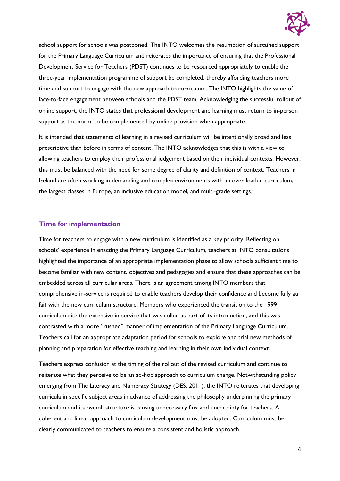

school support for schools was postponed. The INTO welcomes the resumption of sustained support for the Primary Language Curriculum and reiterates the importance of ensuring that the Professional Development Service for Teachers (PDST) continues to be resourced appropriately to enable the three-year implementation programme of support be completed, thereby affording teachers more time and support to engage with the new approach to curriculum. The INTO highlights the value of face-to-face engagement between schools and the PDST team. Acknowledging the successful rollout of online support, the INTO states that professional development and learning must return to in-person support as the norm, to be complemented by online provision when appropriate.

It is intended that statements of learning in a revised curriculum will be intentionally broad and less prescriptive than before in terms of content. The INTO acknowledges that this is with a view to allowing teachers to employ their professional judgement based on their individual contexts. However, this must be balanced with the need for some degree of clarity and definition of context. Teachers in Ireland are often working in demanding and complex environments with an over-loaded curriculum, the largest classes in Europe, an inclusive education model, and multi-grade settings.

#### **Time for implementation**

Time for teachers to engage with a new curriculum is identified as a key priority. Reflecting on schools' experience in enacting the Primary Language Curriculum, teachers at INTO consultations highlighted the importance of an appropriate implementation phase to allow schools sufficient time to become familiar with new content, objectives and pedagogies and ensure that these approaches can be embedded across all curricular areas. There is an agreement among INTO members that comprehensive in-service is required to enable teachers develop their confidence and become fully au fait with the new curriculum structure. Members who experienced the transition to the 1999 curriculum cite the extensive in-service that was rolled as part of its introduction, and this was contrasted with a more "rushed" manner of implementation of the Primary Language Curriculum. Teachers call for an appropriate adaptation period for schools to explore and trial new methods of planning and preparation for effective teaching and learning in their own individual context.

Teachers express confusion at the timing of the rollout of the revised curriculum and continue to reiterate what they perceive to be an ad-hoc approach to curriculum change. Notwithstanding policy emerging from The Literacy and Numeracy Strategy (DES, 2011), the INTO reiterates that developing curricula in specific subject areas in advance of addressing the philosophy underpinning the primary curriculum and its overall structure is causing unnecessary flux and uncertainty for teachers. A coherent and linear approach to curriculum development must be adopted. Curriculum must be clearly communicated to teachers to ensure a consistent and holistic approach.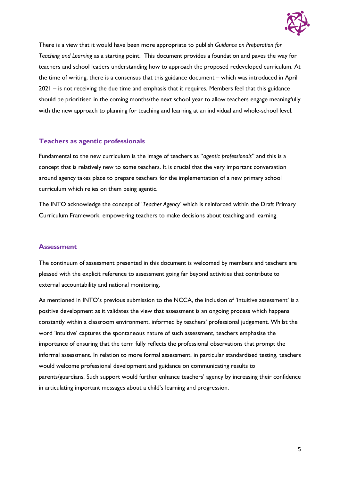

There is a view that it would have been more appropriate to publish *Guidance on Preparation for Teaching and Learning* as a starting point. This document provides a foundation and paves the way for teachers and school leaders understanding how to approach the proposed redeveloped curriculum. At the time of writing, there is a consensus that this guidance document – which was introduced in April 2021 – is not receiving the due time and emphasis that it requires. Members feel that this guidance should be prioritised in the coming months/the next school year to allow teachers engage meaningfully with the new approach to planning for teaching and learning at an individual and whole-school level.

#### **Teachers as agentic professionals**

Fundamental to the new curriculum is the image of teachers as "*agentic professionals*" and this is a concept that is relatively new to some teachers. It is crucial that the very important conversation around agency takes place to prepare teachers for the implementation of a new primary school curriculum which relies on them being agentic.

The INTO acknowledge the concept of '*Teacher Agency'* which is reinforced within the Draft Primary Curriculum Framework, empowering teachers to make decisions about teaching and learning.

#### **Assessment**

The continuum of assessment presented in this document is welcomed by members and teachers are pleased with the explicit reference to assessment going far beyond activities that contribute to external accountability and national monitoring.

As mentioned in INTO's previous submission to the NCCA, the inclusion of 'intuitive assessment' is a positive development as it validates the view that assessment is an ongoing process which happens constantly within a classroom environment, informed by teachers' professional judgement. Whilst the word 'intuitive' captures the spontaneous nature of such assessment, teachers emphasise the importance of ensuring that the term fully reflects the professional observations that prompt the informal assessment. In relation to more formal assessment, in particular standardised testing, teachers would welcome professional development and guidance on communicating results to parents/guardians. Such support would further enhance teachers' agency by increasing their confidence in articulating important messages about a child's learning and progression.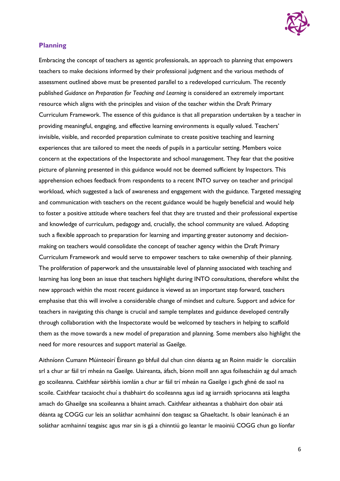

#### **Planning**

Embracing the concept of teachers as agentic professionals, an approach to planning that empowers teachers to make decisions informed by their professional judgment and the various methods of assessment outlined above must be presented parallel to a redeveloped curriculum. The recently published *Guidance on Preparation for Teaching and Learning* is considered an extremely important resource which aligns with the principles and vision of the teacher within the Draft Primary Curriculum Framework. The essence of this guidance is that all preparation undertaken by a teacher in providing meaningful, engaging, and effective learning environments is equally valued. Teachers' invisible, visible, and recorded preparation culminate to create positive teaching and learning experiences that are tailored to meet the needs of pupils in a particular setting. Members voice concern at the expectations of the Inspectorate and school management. They fear that the positive picture of planning presented in this guidance would not be deemed sufficient by Inspectors. This apprehension echoes feedback from respondents to a recent INTO survey on teacher and principal workload, which suggested a lack of awareness and engagement with the guidance. Targeted messaging and communication with teachers on the recent guidance would be hugely beneficial and would help to foster a positive attitude where teachers feel that they are trusted and their professional expertise and knowledge of curriculum, pedagogy and, crucially, the school community are valued. Adopting such a flexible approach to preparation for learning and imparting greater autonomy and decisionmaking on teachers would consolidate the concept of teacher agency within the Draft Primary Curriculum Framework and would serve to empower teachers to take ownership of their planning. The proliferation of paperwork and the unsustainable level of planning associated with teaching and learning has long been an issue that teachers highlight during INTO consultations, therefore whilst the new approach within the most recent guidance is viewed as an important step forward, teachers emphasise that this will involve a considerable change of mindset and culture. Support and advice for teachers in navigating this change is crucial and sample templates and guidance developed centrally through collaboration with the Inspectorate would be welcomed by teachers in helping to scaffold them as the move towards a new model of preparation and planning. Some members also highlight the need for more resources and support material as Gaeilge.

Aithníonn Cumann Múinteoirí Éireann go bhfuil dul chun cinn déanta ag an Roinn maidir le ciorcaláin srl a chur ar fáil trí mheán na Gaeilge. Uaireanta, áfach, bíonn moill ann agus foilseacháin ag dul amach go scoileanna. Caithfear séirbhís iomlán a chur ar fáil trí mheán na Gaeilge i gach ghné de saol na scoile. Caithfear tacaiocht chuí a thabhairt do scoileanna agus iad ag iarraidh spriocanna atá leagtha amach do Ghaeilge sna scoileanna a bhaint amach. Caithfear aitheantas a thabhairt don obair atá déanta ag COGG cur leis an soláthar acmhainní don teagasc sa Ghaeltacht. Is obair leanúnach é an soláthar acmhainní teagaisc agus mar sin is gá a chinntiú go leantar le maoiniú COGG chun go líonfar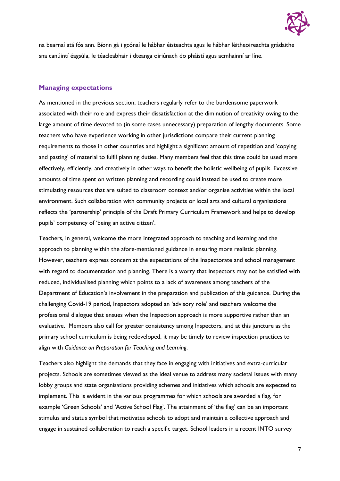

na bearnaí atá fós ann. Bíonn gá i gcónaí le hábhar éisteachta agus le hábhar léitheoireachta grádaithe sna canúintí éagsúla, le téacleabhair i dteanga oiriúnach do pháistí agus acmhainní ar líne.

#### **Managing expectations**

As mentioned in the previous section, teachers regularly refer to the burdensome paperwork associated with their role and express their dissatisfaction at the diminution of creativity owing to the large amount of time devoted to (in some cases unnecessary) preparation of lengthy documents. Some teachers who have experience working in other jurisdictions compare their current planning requirements to those in other countries and highlight a significant amount of repetition and 'copying and pasting' of material to fulfil planning duties. Many members feel that this time could be used more effectively, efficiently, and creatively in other ways to benefit the holistic wellbeing of pupils. Excessive amounts of time spent on written planning and recording could instead be used to create more stimulating resources that are suited to classroom context and/or organise activities within the local environment. Such collaboration with community projects or local arts and cultural organisations reflects the 'partnership' principle of the Draft Primary Curriculum Framework and helps to develop pupils' competency of 'being an active citizen'.

Teachers, in general, welcome the more integrated approach to teaching and learning and the approach to planning within the afore-mentioned guidance in ensuring more realistic planning. However, teachers express concern at the expectations of the Inspectorate and school management with regard to documentation and planning. There is a worry that Inspectors may not be satisfied with reduced, individualised planning which points to a lack of awareness among teachers of the Department of Education's involvement in the preparation and publication of this guidance. During the challenging Covid-19 period, Inspectors adopted an 'advisory role' and teachers welcome the professional dialogue that ensues when the Inspection approach is more supportive rather than an evaluative. Members also call for greater consistency among Inspectors, and at this juncture as the primary school curriculum is being redeveloped, it may be timely to review inspection practices to align with *Guidance on Preparation for Teaching and Learning*.

Teachers also highlight the demands that they face in engaging with initiatives and extra-curricular projects. Schools are sometimes viewed as the ideal venue to address many societal issues with many lobby groups and state organisations providing schemes and initiatives which schools are expected to implement. This is evident in the various programmes for which schools are awarded a flag, for example 'Green Schools' and 'Active School Flag'. The attainment of 'the flag' can be an important stimulus and status symbol that motivates schools to adopt and maintain a collective approach and engage in sustained collaboration to reach a specific target. School leaders in a recent INTO survey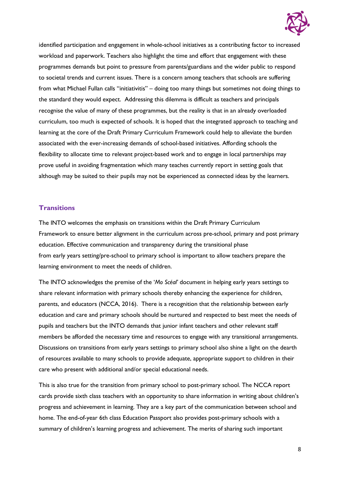

identified participation and engagement in whole-school initiatives as a contributing factor to increased workload and paperwork. Teachers also highlight the time and effort that engagement with these programmes demands but point to pressure from parents/guardians and the wider public to respond to societal trends and current issues. There is a concern among teachers that schools are suffering from what Michael Fullan calls "initiativitis" – doing too many things but sometimes not doing things to the standard they would expect. Addressing this dilemma is difficult as teachers and principals recognise the value of many of these programmes, but the reality is that in an already overloaded curriculum, too much is expected of schools. It is hoped that the integrated approach to teaching and learning at the core of the Draft Primary Curriculum Framework could help to alleviate the burden associated with the ever-increasing demands of school-based initiatives. Affording schools the flexibility to allocate time to relevant project-based work and to engage in local partnerships may prove useful in avoiding fragmentation which many teaches currently report in setting goals that although may be suited to their pupils may not be experienced as connected ideas by the learners.

#### **Transitions**

The INTO welcomes the emphasis on transitions within the Draft Primary Curriculum Framework to ensure better alignment in the curriculum across pre-school, primary and post primary education. Effective communication and transparency during the transitional phase from early years setting/pre-school to primary school is important to allow teachers prepare the learning environment to meet the needs of children.

The INTO acknowledges the premise of the '*Mo Scéal'* document in helping early years settings to share relevant information with primary schools thereby enhancing the experience for children, parents, and educators (NCCA, 2016). There is a recognition that the relationship between early education and care and primary schools should be nurtured and respected to best meet the needs of pupils and teachers but the INTO demands that junior infant teachers and other relevant staff members be afforded the necessary time and resources to engage with any transitional arrangements. Discussions on transitions from early years settings to primary school also shine a light on the dearth of resources available to many schools to provide adequate, appropriate support to children in their care who present with additional and/or special educational needs.

This is also true for the transition from primary school to post-primary school. The NCCA report cards provide sixth class teachers with an opportunity to share information in writing about children's progress and achievement in learning. They are a key part of the communication between school and home. The end-of-year 6th class Education Passport also provides post-primary schools with a summary of children's learning progress and achievement. The merits of sharing such important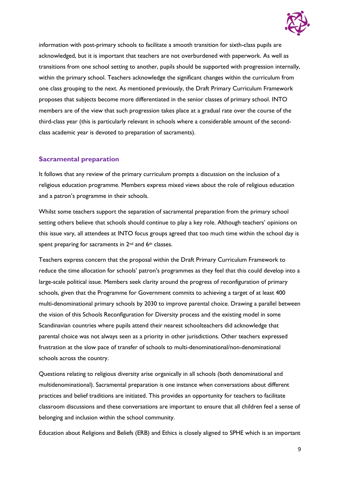

information with post-primary schools to facilitate a smooth transition for sixth-class pupils are acknowledged, but it is important that teachers are not overburdened with paperwork. As well as transitions from one school setting to another, pupils should be supported with progression internally, within the primary school. Teachers acknowledge the significant changes within the curriculum from one class grouping to the next. As mentioned previously, the Draft Primary Curriculum Framework proposes that subjects become more differentiated in the senior classes of primary school. INTO members are of the view that such progression takes place at a gradual rate over the course of the third-class year (this is particularly relevant in schools where a considerable amount of the secondclass academic year is devoted to preparation of sacraments).

#### **Sacramental preparation**

It follows that any review of the primary curriculum prompts a discussion on the inclusion of a religious education programme. Members express mixed views about the role of religious education and a patron's programme in their schools.

Whilst some teachers support the separation of sacramental preparation from the primary school setting others believe that schools should continue to play a key role. Although teachers' opinions on this issue vary, all attendees at INTO focus groups agreed that too much time within the school day is spent preparing for sacraments in 2<sup>nd</sup> and 6<sup>th</sup> classes.

Teachers express concern that the proposal within the Draft Primary Curriculum Framework to reduce the time allocation for schools' patron's programmes as they feel that this could develop into a large-scale political issue. Members seek clarity around the progress of reconfiguration of primary schools, given that the Programme for Government commits to achieving a target of at least 400 multi-denominational primary schools by 2030 to improve parental choice. Drawing a parallel between the vision of this Schools Reconfiguration for Diversity process and the existing model in some Scandinavian countries where pupils attend their nearest schoolteachers did acknowledge that parental choice was not always seen as a priority in other jurisdictions. Other teachers expressed frustration at the slow pace of transfer of schools to multi-denominational/non-denominational schools across the country.

Questions relating to religious diversity arise organically in all schools (both denominational and multidenominational). Sacramental preparation is one instance when conversations about different practices and belief traditions are initiated. This provides an opportunity for teachers to facilitate classroom discussions and these conversations are important to ensure that all children feel a sense of belonging and inclusion within the school community.

Education about Religions and Beliefs (ERB) and Ethics is closely aligned to SPHE which is an important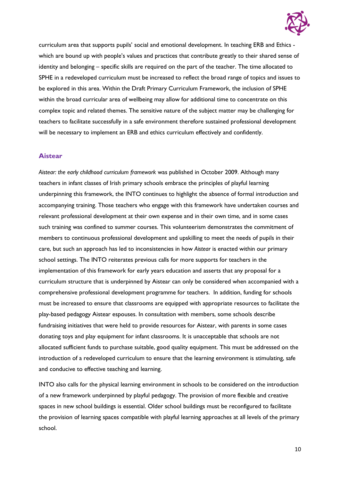

curriculum area that supports pupils' social and emotional development. In teaching ERB and Ethics which are bound up with people's values and practices that contribute greatly to their shared sense of identity and belonging – specific skills are required on the part of the teacher. The time allocated to SPHE in a redeveloped curriculum must be increased to reflect the broad range of topics and issues to be explored in this area. Within the Draft Primary Curriculum Framework, the inclusion of SPHE within the broad curricular area of wellbeing may allow for additional time to concentrate on this complex topic and related themes. The sensitive nature of the subject matter may be challenging for teachers to facilitate successfully in a safe environment therefore sustained professional development will be necessary to implement an ERB and ethics curriculum effectively and confidently.

#### **Aistear**

*Aistear: the early childhood curriculum framework* was published in October 2009. Although many teachers in infant classes of Irish primary schools embrace the principles of playful learning underpinning this framework, the INTO continues to highlight the absence of formal introduction and accompanying training. Those teachers who engage with this framework have undertaken courses and relevant professional development at their own expense and in their own time, and in some cases such training was confined to summer courses. This volunteerism demonstrates the commitment of members to continuous professional development and upskilling to meet the needs of pupils in their care, but such an approach has led to inconsistencies in how *Aistear* is enacted within our primary school settings. The INTO reiterates previous calls for more supports for teachers in the implementation of this framework for early years education and asserts that any proposal for a curriculum structure that is underpinned by Aistear can only be considered when accompanied with a comprehensive professional development programme for teachers. In addition, funding for schools must be increased to ensure that classrooms are equipped with appropriate resources to facilitate the play-based pedagogy Aistear espouses. In consultation with members, some schools describe fundraising initiatives that were held to provide resources for Aistear, with parents in some cases donating toys and play equipment for infant classrooms. It is unacceptable that schools are not allocated sufficient funds to purchase suitable, good quality equipment. This must be addressed on the introduction of a redeveloped curriculum to ensure that the learning environment is stimulating, safe and conducive to effective teaching and learning.

INTO also calls for the physical learning environment in schools to be considered on the introduction of a new framework underpinned by playful pedagogy. The provision of more flexible and creative spaces in new school buildings is essential. Older school buildings must be reconfigured to facilitate the provision of learning spaces compatible with playful learning approaches at all levels of the primary school.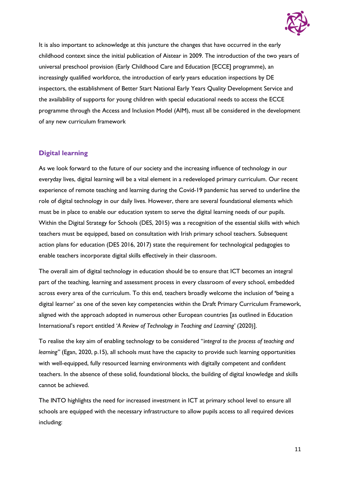

It is also important to acknowledge at this juncture the changes that have occurred in the early childhood context since the initial publication of Aistear in 2009. The introduction of the two years of universal preschool provision (Early Childhood Care and Education [ECCE] programme), an increasingly qualified workforce, the introduction of early years education inspections by DE inspectors, the establishment of Better Start National Early Years Quality Development Service and the availability of supports for young children with special educational needs to access the ECCE programme through the Access and Inclusion Model (AIM), must all be considered in the development of any new curriculum framework

#### **Digital learning**

As we look forward to the future of our society and the increasing influence of technology in our everyday lives, digital learning will be a vital element in a redeveloped primary curriculum. Our recent experience of remote teaching and learning during the Covid-19 pandemic has served to underline the role of digital technology in our daily lives. However, there are several foundational elements which must be in place to enable our education system to serve the digital learning needs of our pupils. Within the Digital Strategy for Schools (DES, 2015) was a recognition of the essential skills with which teachers must be equipped, based on consultation with Irish primary school teachers. Subsequent action plans for education (DES 2016, 2017) state the requirement for technological pedagogies to enable teachers incorporate digital skills effectively in their classroom.

The overall aim of digital technology in education should be to ensure that ICT becomes an integral part of the teaching, learning and assessment process in every classroom of every school, embedded across every area of the curriculum. To this end, teachers broadly welcome the inclusion of **'**being a digital learner' as one of the seven key competencies within the Draft Primary Curriculum Framework, aligned with the approach adopted in numerous other European countries [as outlined in Education International's report entitled '*A Review of Technology in Teaching and Learning'* (2020)].

To realise the key aim of enabling technology to be considered "*integral to the process of teaching and learning"* (Egan, 2020, p.15), all schools must have the capacity to provide such learning opportunities with well-equipped, fully resourced learning environments with digitally competent and confident teachers. In the absence of these solid, foundational blocks, the building of digital knowledge and skills cannot be achieved.

The INTO highlights the need for increased investment in ICT at primary school level to ensure all schools are equipped with the necessary infrastructure to allow pupils access to all required devices including: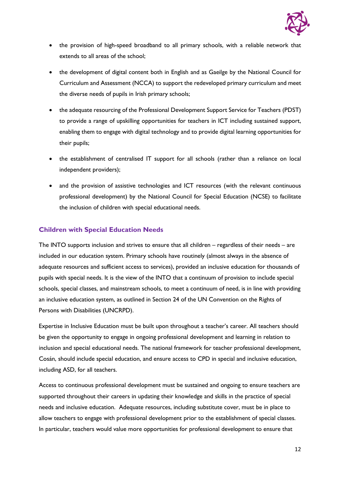

- the provision of high-speed broadband to all primary schools, with a reliable network that extends to all areas of the school;
- the development of digital content both in English and as Gaeilge by the National Council for Curriculum and Assessment (NCCA) to support the redeveloped primary curriculum and meet the diverse needs of pupils in Irish primary schools;
- the adequate resourcing of the Professional Development Support Service for Teachers (PDST) to provide a range of upskilling opportunities for teachers in ICT including sustained support, enabling them to engage with digital technology and to provide digital learning opportunities for their pupils;
- the establishment of centralised IT support for all schools (rather than a reliance on local independent providers);
- and the provision of assistive technologies and ICT resources (with the relevant continuous professional development) by the National Council for Special Education (NCSE) to facilitate the inclusion of children with special educational needs.

#### **Children with Special Education Needs**

The INTO supports inclusion and strives to ensure that all children – regardless of their needs – are included in our education system. Primary schools have routinely (almost always in the absence of adequate resources and sufficient access to services), provided an inclusive education for thousands of pupils with special needs. It is the view of the INTO that a continuum of provision to include special schools, special classes, and mainstream schools, to meet a continuum of need, is in line with providing an inclusive education system, as outlined in Section 24 of the UN Convention on the Rights of Persons with Disabilities (UNCRPD).

Expertise in Inclusive Education must be built upon throughout a teacher's career. All teachers should be given the opportunity to engage in ongoing professional development and learning in relation to inclusion and special educational needs. The national framework for teacher professional development, Cosán, should include special education, and ensure access to CPD in special and inclusive education, including ASD, for all teachers.

Access to continuous professional development must be sustained and ongoing to ensure teachers are supported throughout their careers in updating their knowledge and skills in the practice of special needs and inclusive education. Adequate resources, including substitute cover, must be in place to allow teachers to engage with professional development prior to the establishment of special classes. In particular, teachers would value more opportunities for professional development to ensure that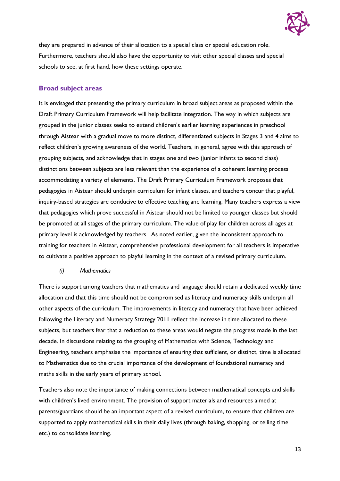

they are prepared in advance of their allocation to a special class or special education role. Furthermore, teachers should also have the opportunity to visit other special classes and special schools to see, at first hand, how these settings operate.

#### **Broad subject areas**

It is envisaged that presenting the primary curriculum in broad subject areas as proposed within the Draft Primary Curriculum Framework will help facilitate integration. The way in which subjects are grouped in the junior classes seeks to extend children's earlier learning experiences in preschool through Aistear with a gradual move to more distinct, differentiated subjects in Stages 3 and 4 aims to reflect children's growing awareness of the world. Teachers, in general, agree with this approach of grouping subjects, and acknowledge that in stages one and two (junior infants to second class) distinctions between subjects are less relevant than the experience of a coherent learning process accommodating a variety of elements. The Draft Primary Curriculum Framework proposes that pedagogies in Aistear should underpin curriculum for infant classes, and teachers concur that playful, inquiry-based strategies are conducive to effective teaching and learning. Many teachers express a view that pedagogies which prove successful in Aistear should not be limited to younger classes but should be promoted at all stages of the primary curriculum. The value of play for children across all ages at primary level is acknowledged by teachers. As noted earlier, given the inconsistent approach to training for teachers in Aistear, comprehensive professional development for all teachers is imperative to cultivate a positive approach to playful learning in the context of a revised primary curriculum.

#### *(i) Mathematics*

There is support among teachers that mathematics and language should retain a dedicated weekly time allocation and that this time should not be compromised as literacy and numeracy skills underpin all other aspects of the curriculum. The improvements in literacy and numeracy that have been achieved following the Literacy and Numeracy Strategy 2011 reflect the increase in time allocated to these subjects, but teachers fear that a reduction to these areas would negate the progress made in the last decade. In discussions relating to the grouping of Mathematics with Science, Technology and Engineering, teachers emphasise the importance of ensuring that sufficient, or distinct, time is allocated to Mathematics due to the crucial importance of the development of foundational numeracy and maths skills in the early years of primary school.

Teachers also note the importance of making connections between mathematical concepts and skills with children's lived environment. The provision of support materials and resources aimed at parents/guardians should be an important aspect of a revised curriculum, to ensure that children are supported to apply mathematical skills in their daily lives (through baking, shopping, or telling time etc.) to consolidate learning.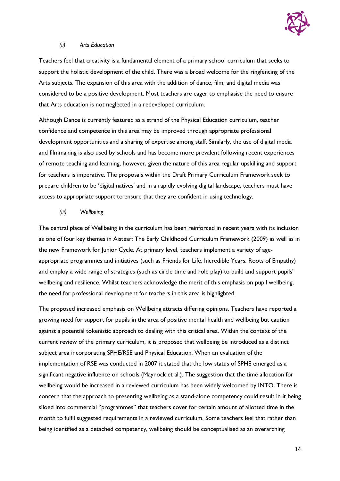

#### *(ii) Arts Education*

Teachers feel that creativity is a fundamental element of a primary school curriculum that seeks to support the holistic development of the child. There was a broad welcome for the ringfencing of the Arts subjects. The expansion of this area with the addition of dance, film, and digital media was considered to be a positive development. Most teachers are eager to emphasise the need to ensure that Arts education is not neglected in a redeveloped curriculum.

Although Dance is currently featured as a strand of the Physical Education curriculum, teacher confidence and competence in this area may be improved through appropriate professional development opportunities and a sharing of expertise among staff. Similarly, the use of digital media and filmmaking is also used by schools and has become more prevalent following recent experiences of remote teaching and learning, however, given the nature of this area regular upskilling and support for teachers is imperative. The proposals within the Draft Primary Curriculum Framework seek to prepare children to be 'digital natives' and in a rapidly evolving digital landscape, teachers must have access to appropriate support to ensure that they are confident in using technology.

#### *(iii) Wellbeing*

The central place of Wellbeing in the curriculum has been reinforced in recent years with its inclusion as one of four key themes in Aistear: The Early Childhood Curriculum Framework (2009) as well as in the new Framework for Junior Cycle. At primary level, teachers implement a variety of ageappropriate programmes and initiatives (such as Friends for Life, Incredible Years, Roots of Empathy) and employ a wide range of strategies (such as circle time and role play) to build and support pupils' wellbeing and resilience. Whilst teachers acknowledge the merit of this emphasis on pupil wellbeing, the need for professional development for teachers in this area is highlighted.

The proposed increased emphasis on Wellbeing attracts differing opinions. Teachers have reported a growing need for support for pupils in the area of positive mental health and wellbeing but caution against a potential tokenistic approach to dealing with this critical area. Within the context of the current review of the primary curriculum, it is proposed that wellbeing be introduced as a distinct subject area incorporating SPHE/RSE and Physical Education. When an evaluation of the implementation of RSE was conducted in 2007 it stated that the low status of SPHE emerged as a significant negative influence on schools (Maynock et al.). The suggestion that the time allocation for wellbeing would be increased in a reviewed curriculum has been widely welcomed by INTO. There is concern that the approach to presenting wellbeing as a stand-alone competency could result in it being siloed into commercial "programmes" that teachers cover for certain amount of allotted time in the month to fulfil suggested requirements in a reviewed curriculum. Some teachers feel that rather than being identified as a detached competency, wellbeing should be conceptualised as an overarching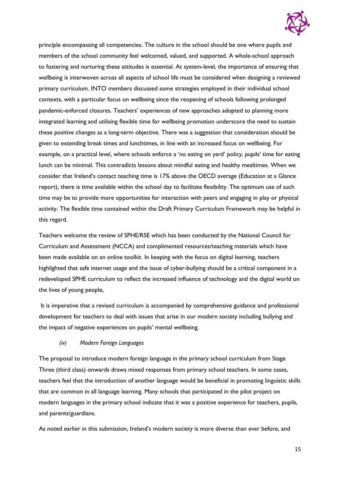

principle encompassing all competencies. The culture in the school should be one where pupils and members of the school community feel welcomed, valued, and supported. A whole-school approach to fostering and nurturing these attitudes is essential. At system-level, the importance of ensuring that wellbeing is interwoven across all aspects of school life must be considered when designing a reviewed primary curriculum. INTO members discussed some strategies employed in their individual school contexts, with a particular focus on wellbeing since the reopening of schools following prolonged pandemic-enforced closures. Teachers' experiences of new approaches adopted to planning more integrated learning and utilising flexible time for wellbeing promotion underscore the need to sustain these positive changes as a long-term objective. There was a suggestion that consideration should be given to extending break times and lunchtimes, in line with an increased focus on wellbeing. For example, on a practical level, where schools enforce a 'no eating on yard' policy, pupils' time for eating lunch can be minimal. This contradicts lessons about mindful eating and healthy mealtimes. When we consider that Ireland's contact teaching time is 17% above the OECD average (Education at a Glance report), there is time available within the school day to facilitate flexibility. The optimum use of such time may be to provide more opportunities for interaction with peers and engaging in play or physical activity. The flexible time contained within the Draft Primary Curriculum Framework may be helpful in this regard.

Teachers welcome the review of SPHE/RSE which has been conducted by the National Council for Curriculum and Assessment (NCCA) and complimented resources/teaching materials which have been made available on an online toolkit. In keeping with the focus on digital learning, teachers highlighted that safe internet usage and the issue of cyber-bullying should be a critical component in a redeveloped SPHE curriculum to reflect the increased influence of technology and the digital world on the lives of young people,

It is imperative that a revised curriculum is accompanied by comprehensive guidance and professional development for teachers to deal with issues that arise in our modern society including bullying and the impact of negative experiences on pupils' mental wellbeing.

#### *(iv) Modern Foreign Languages*

The proposal to introduce modern foreign language in the primary school curriculum from Stage Three (third class) onwards draws mixed responses from primary school teachers. In some cases, teachers feel that the introduction of another language would be beneficial in promoting linguistic skills that are common in all language learning. Many schools that participated in the pilot project on modern languages in the primary school indicate that it was a positive experience for teachers, pupils, and parents/guardians.

As noted earlier in this submission, Ireland's modern society is more diverse than ever before, and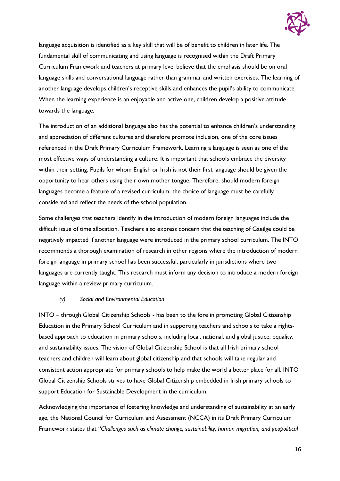

language acquisition is identified as a key skill that will be of benefit to children in later life. The fundamental skill of communicating and using language is recognised within the Draft Primary Curriculum Framework and teachers at primary level believe that the emphasis should be on oral language skills and conversational language rather than grammar and written exercises. The learning of another language develops children's receptive skills and enhances the pupil's ability to communicate. When the learning experience is an enjoyable and active one, children develop a positive attitude towards the language.

The introduction of an additional language also has the potential to enhance children's understanding and appreciation of different cultures and therefore promote inclusion, one of the core issues referenced in the Draft Primary Curriculum Framework. Learning a language is seen as one of the most effective ways of understanding a culture. It is important that schools embrace the diversity within their setting. Pupils for whom English or Irish is not their first language should be given the opportunity to hear others using their own mother tongue. Therefore, should modern foreign languages become a feature of a revised curriculum, the choice of language must be carefully considered and reflect the needs of the school population.

Some challenges that teachers identify in the introduction of modern foreign languages include the difficult issue of time allocation. Teachers also express concern that the teaching of Gaeilge could be negatively impacted if another language were introduced in the primary school curriculum. The INTO recommends a thorough examination of research in other regions where the introduction of modern foreign language in primary school has been successful, particularly in jurisdictions where two languages are currently taught. This research must inform any decision to introduce a modern foreign language within a review primary curriculum.

#### *(v) Social and Environmental Education*

INTO – through Global Citizenship Schools - has been to the fore in promoting Global Citizenship Education in the Primary School Curriculum and in supporting teachers and schools to take a rightsbased approach to education in primary schools, including local, national, and global justice, equality, and sustainability issues. The vision of Global Citizenship School is that all Irish primary school teachers and children will learn about global citizenship and that schools will take regular and consistent action appropriate for primary schools to help make the world a better place for all. INTO Global Citizenship Schools strives to have Global Citizenship embedded in Irish primary schools to support Education for Sustainable Development in the curriculum.

Acknowledging the importance of fostering knowledge and understanding of sustainability at an early age, the National Council for Curriculum and Assessment (NCCA) in its Draft Primary Curriculum Framework states that "*Challenges such as climate change, sustainability, human migration, and geopolitical*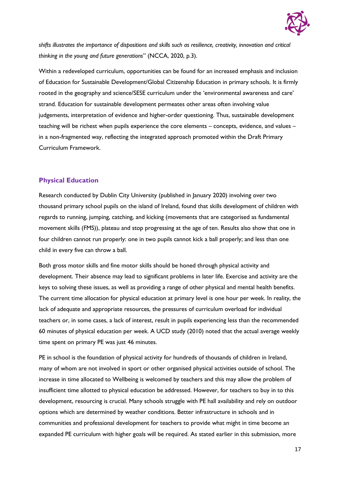

*shifts illustrates the importance of dispositions and skills such as resilience, creativity, innovation and critical thinking in the young and future generations*" (NCCA, 2020, p.3).

Within a redeveloped curriculum, opportunities can be found for an increased emphasis and inclusion of Education for Sustainable Development/Global Citizenship Education in primary schools. It is firmly rooted in the geography and science/SESE curriculum under the 'environmental awareness and care' strand. Education for sustainable development permeates other areas often involving value judgements, interpretation of evidence and higher-order questioning. Thus, sustainable development teaching will be richest when pupils experience the core elements – concepts, evidence, and values – in a non-fragmented way, reflecting the integrated approach promoted within the Draft Primary Curriculum Framework.

#### **Physical Education**

Research conducted by Dublin City University (published in January 2020) involving over two thousand primary school pupils on the island of Ireland, found that skills development of children with regards to running, jumping, catching, and kicking (movements that are categorised as fundamental movement skills (FMS)), plateau and stop progressing at the age of ten. Results also show that one in four children cannot run properly: one in two pupils cannot kick a ball properly; and less than one child in every five can throw a ball.

Both gross motor skills and fine motor skills should be honed through physical activity and development. Their absence may lead to significant problems in later life. Exercise and activity are the keys to solving these issues, as well as providing a range of other physical and mental health benefits. The current time allocation for physical education at primary level is one hour per week. In reality, the lack of adequate and appropriate resources, the pressures of curriculum overload for individual teachers or, in some cases, a lack of interest, result in pupils experiencing less than the recommended 60 minutes of physical education per week. A UCD study (2010) noted that the actual average weekly time spent on primary PE was just 46 minutes.

PE in school is the foundation of physical activity for hundreds of thousands of children in Ireland, many of whom are not involved in sport or other organised physical activities outside of school. The increase in time allocated to Wellbeing is welcomed by teachers and this may allow the problem of insufficient time allotted to physical education be addressed. However, for teachers to buy in to this development, resourcing is crucial. Many schools struggle with PE hall availability and rely on outdoor options which are determined by weather conditions. Better infrastructure in schools and in communities and professional development for teachers to provide what might in time become an expanded PE curriculum with higher goals will be required. As stated earlier in this submission, more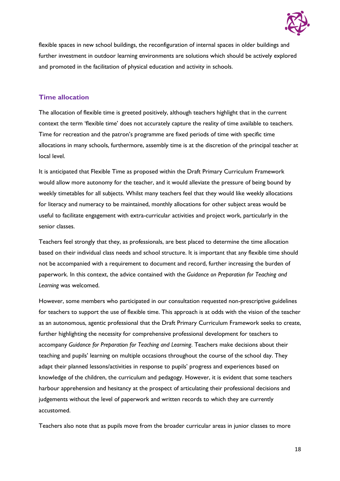

flexible spaces in new school buildings, the reconfiguration of internal spaces in older buildings and further investment in outdoor learning environments are solutions which should be actively explored and promoted in the facilitation of physical education and activity in schools.

#### **Time allocation**

The allocation of flexible time is greeted positively, although teachers highlight that in the current context the term 'flexible time' does not accurately capture the reality of time available to teachers. Time for recreation and the patron's programme are fixed periods of time with specific time allocations in many schools, furthermore, assembly time is at the discretion of the principal teacher at local level.

It is anticipated that Flexible Time as proposed within the Draft Primary Curriculum Framework would allow more autonomy for the teacher, and it would alleviate the pressure of being bound by weekly timetables for all subjects. Whilst many teachers feel that they would like weekly allocations for literacy and numeracy to be maintained, monthly allocations for other subject areas would be useful to facilitate engagement with extra-curricular activities and project work, particularly in the senior classes.

Teachers feel strongly that they, as professionals, are best placed to determine the time allocation based on their individual class needs and school structure. It is important that any flexible time should not be accompanied with a requirement to document and record, further increasing the burden of paperwork. In this context, the advice contained with the *Guidance on Preparation for Teaching and Learning* was welcomed.

However, some members who participated in our consultation requested non-prescriptive guidelines for teachers to support the use of flexible time. This approach is at odds with the vision of the teacher as an autonomous, agentic professional that the Draft Primary Curriculum Framework seeks to create, further highlighting the necessity for comprehensive professional development for teachers to accompany *Guidance for Preparation for Teaching and Learning*. Teachers make decisions about their teaching and pupils' learning on multiple occasions throughout the course of the school day. They adapt their planned lessons/activities in response to pupils' progress and experiences based on knowledge of the children, the curriculum and pedagogy. However, it is evident that some teachers harbour apprehension and hesitancy at the prospect of articulating their professional decisions and judgements without the level of paperwork and written records to which they are currently accustomed.

Teachers also note that as pupils move from the broader curricular areas in junior classes to more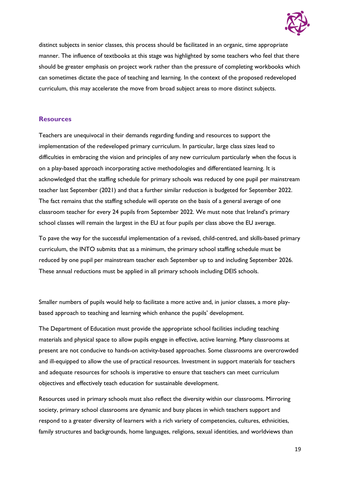

distinct subjects in senior classes, this process should be facilitated in an organic, time appropriate manner. The influence of textbooks at this stage was highlighted by some teachers who feel that there should be greater emphasis on project work rather than the pressure of completing workbooks which can sometimes dictate the pace of teaching and learning. In the context of the proposed redeveloped curriculum, this may accelerate the move from broad subject areas to more distinct subjects.

#### **Resources**

Teachers are unequivocal in their demands regarding funding and resources to support the implementation of the redeveloped primary curriculum. In particular, large class sizes lead to difficulties in embracing the vision and principles of any new curriculum particularly when the focus is on a play-based approach incorporating active methodologies and differentiated learning. It is acknowledged that the staffing schedule for primary schools was reduced by one pupil per mainstream teacher last September (2021) and that a further similar reduction is budgeted for September 2022. The fact remains that the staffing schedule will operate on the basis of a general average of one classroom teacher for every 24 pupils from September 2022. We must note that Ireland's primary school classes will remain the largest in the EU at four pupils per class above the EU average.

To pave the way for the successful implementation of a revised, child-centred, and skills-based primary curriculum, the INTO submits that as a minimum, the primary school staffing schedule must be reduced by one pupil per mainstream teacher each September up to and including September 2026. These annual reductions must be applied in all primary schools including DEIS schools.

Smaller numbers of pupils would help to facilitate a more active and, in junior classes, a more playbased approach to teaching and learning which enhance the pupils' development.

The Department of Education must provide the appropriate school facilities including teaching materials and physical space to allow pupils engage in effective, active learning. Many classrooms at present are not conducive to hands-on activity-based approaches. Some classrooms are overcrowded and ill-equipped to allow the use of practical resources. Investment in support materials for teachers and adequate resources for schools is imperative to ensure that teachers can meet curriculum objectives and effectively teach education for sustainable development.

Resources used in primary schools must also reflect the diversity within our classrooms. Mirroring society, primary school classrooms are dynamic and busy places in which teachers support and respond to a greater diversity of learners with a rich variety of competencies, cultures, ethnicities, family structures and backgrounds, home languages, religions, sexual identities, and worldviews than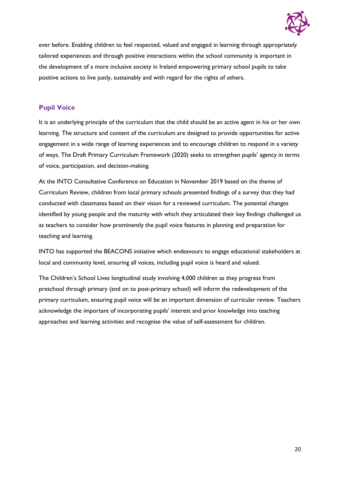

ever before. Enabling children to feel respected, valued and engaged in learning through appropriately tailored experiences and through positive interactions within the school community is important in the development of a more inclusive society in Ireland empowering primary school pupils to take positive actions to live justly, sustainably and with regard for the rights of others.

#### **Pupil Voice**

It is an underlying principle of the curriculum that the child should be an active agent in his or her own learning. The structure and content of the curriculum are designed to provide opportunities for active engagement in a wide range of learning experiences and to encourage children to respond in a variety of ways. The Draft Primary Curriculum Framework (2020) seeks to strengthen pupils' agency in terms of voice, participation, and decision-making.

At the INTO Consultative Conference on Education in November 2019 based on the theme of Curriculum Review, children from local primary schools presented findings of a survey that they had conducted with classmates based on their vision for a reviewed curriculum. The potential changes identified by young people and the maturity with which they articulated their key findings challenged us as teachers to consider how prominently the pupil voice features in planning and preparation for teaching and learning.

INTO has supported the BEACONS initiative which endeavours to engage educational stakeholders at local and community level, ensuring all voices, including pupil voice is heard and valued.

The Children's School Lives longitudinal study involving 4,000 children as they progress from preschool through primary (and on to post-primary school) will inform the redevelopment of the primary curriculum, ensuring pupil voice will be an important dimension of curricular review. Teachers acknowledge the important of incorporating pupils' interest and prior knowledge into teaching approaches and learning activities and recognise the value of self-assessment for children.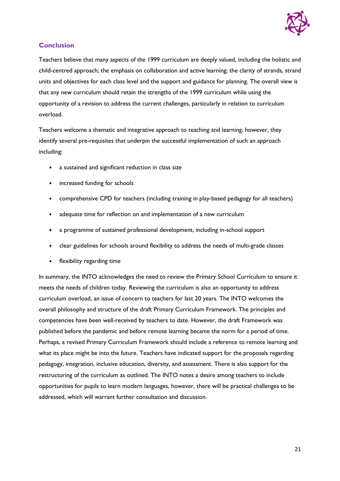

#### **Conclusion**

Teachers believe that many aspects of the 1999 curriculum are deeply valued, including the holistic and child-centred approach; the emphasis on collaboration and active learning; the clarity of strands, strand units and objectives for each class level and the support and guidance for planning. The overall view is that any new curriculum should retain the strengths of the 1999 curriculum while using the opportunity of a revision to address the current challenges, particularly in relation to curriculum overload.

Teachers welcome a thematic and integrative approach to teaching and learning; however, they identify several pre-requisites that underpin the successful implementation of such an approach including:

- a sustained and significant reduction in class size
- increased funding for schools
- comprehensive CPD for teachers (including training in play-based pedagogy for all teachers)
- adequate time for reflection on and implementation of a new curriculum
- a programme of sustained professional development, including in-school support
- clear guidelines for schools around flexibility to address the needs of multi-grade classes
- flexibility regarding time

In summary, the INTO acknowledges the need to review the Primary School Curriculum to ensure it meets the needs of children today. Reviewing the curriculum is also an opportunity to address curriculum overload, an issue of concern to teachers for last 20 years. The INTO welcomes the overall philosophy and structure of the draft Primary Curriculum Framework. The principles and competencies have been well-received by teachers to date. However, the draft Framework was published before the pandemic and before remote learning became the norm for a period of time. Perhaps, a revised Primary Curriculum Framework should include a reference to remote learning and what its place might be into the future. Teachers have indicated support for the proposals regarding pedagogy, integration, inclusive education, diversity, and assessment. There is also support for the restructuring of the curriculum as outlined. The INTO notes a desire among teachers to include opportunities for pupils to learn modern languages, however, there will be practical challenges to be addressed, which will warrant further consultation and discussion.